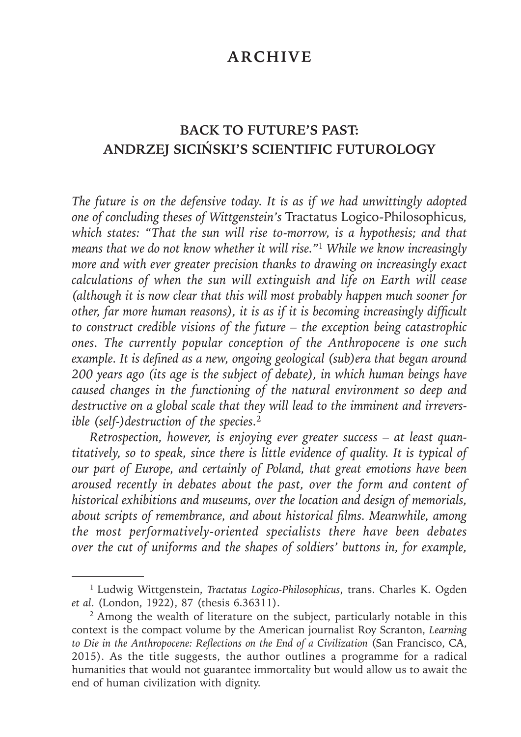# **ARCHIVE**

# **BACK TO FUTURE'S PAST: ANDRZEJ SICIŃSKI'S SCIENTIFIC FUTUROLOGY**

*The future is on the defensive today. It is as if we had unwittingly adopted one of concluding theses of Wittgenstein's* Tractatus Logico-Philosophicus*, which states: "That the sun will rise to-morrow, is a hypothesis; and that means that we do not know whether it will rise."*<sup>1</sup> *While we know increasingly more and with ever greater precision thanks to drawing on increasingly exact calculations of when the sun will extinguish and life on Earth will cease (although it is now clear that this will most probably happen much sooner for other, far more human reasons), it is as if it is becoming increasingly difficult to construct credible visions of the future – the exception being catastrophic ones. The currently popular conception of the Anthropocene is one such example. It is defined as a new, ongoing geological (sub)era that began around 200 years ago (its age is the subject of debate), in which human beings have caused changes in the functioning of the natural environment so deep and destructive on a global scale that they will lead to the imminent and irreversible (self-)destruction of the species.*<sup>2</sup>

*Retrospection, however, is enjoying ever greater success – at least quantitatively, so to speak, since there is little evidence of quality. It is typical of our part of Europe, and certainly of Poland, that great emotions have been aroused recently in debates about the past, over the form and content of historical exhibitions and museums, over the location and design of memorials, about scripts of remembrance, and about historical fi lms. Meanwhile, among the most performatively-oriented specialists there have been debates over the cut of uniforms and the shapes of soldiers' buttons in, for example,*

<sup>1</sup> Ludwig Wittgenstein, *Tractatus Logico-Philosophicus*, trans. Charles K. Ogden *et al*. (London, 1922), 87 (thesis 6.36311).

<sup>2</sup> Among the wealth of literature on the subject, particularly notable in this context is the compact volume by the American journalist Roy Scranton, *Learning*  to Die in the Anthropocene: Reflections on the End of a Civilization (San Francisco, CA, 2015). As the title suggests, the author outlines a programme for a radical humanities that would not guarantee immortality but would allow us to await the end of human civilization with dignity.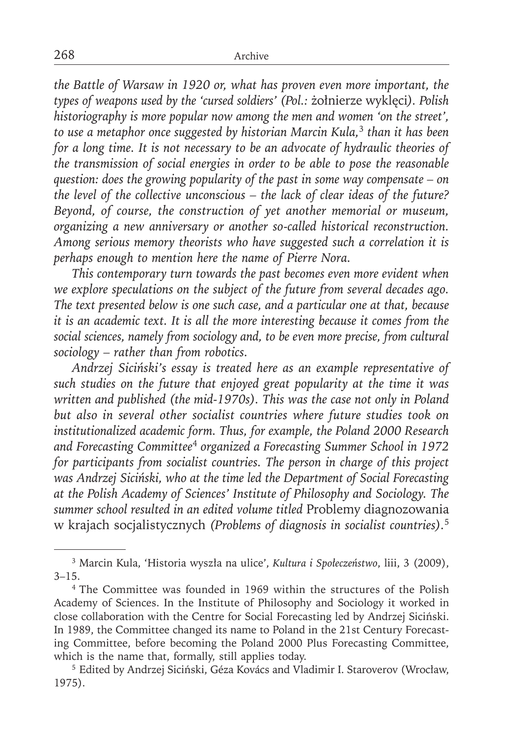*the Battle of Warsaw in 1920 or, what has proven even more important, the types of weapons used by the 'cursed soldiers' (Pol.:* żołnierze wyklęci*). Polish historiography is more popular now among the men and women 'on the street', to use a metaphor once suggested by historian Marcin Kula,*<sup>3</sup> *than it has been for a long time. It is not necessary to be an advocate of hydraulic theories of the transmission of social energies in order to be able to pose the reasonable question: does the growing popularity of the past in some way compensate – on the level of the collective unconscious – the lack of clear ideas of the future? Beyond, of course, the construction of yet another memorial or museum, organizing a new anniversary or another so-called historical reconstruction. Among serious memory theorists who have suggested such a correlation it is perhaps enough to mention here the name of Pierre Nora.*

*This contemporary turn towards the past becomes even more evident when we explore speculations on the subject of the future from several decades ago. The text presented below is one such case, and a particular one at that, because it is an academic text. It is all the more interesting because it comes from the social sciences, namely from sociology and, to be even more precise, from cultural sociology – rather than from robotics.*

*Andrzej Siciński's essay is treated here as an example representative of such studies on the future that enjoyed great popularity at the time it was written and published (the mid-1970s). This was the case not only in Poland but also in several other socialist countries where future studies took on institutionalized academic form. Thus, for example, the Poland 2000 Research and Forecasting Committee*<sup>4</sup> *organized a Forecasting Summer School in 1972 for participants from socialist countries. The person in charge of this project was Andrzej Siciński, who at the time led the Department of Social Forecasting at the Polish Academy of Sciences' Institute of Philosophy and Sociology. The summer school resulted in an edited volume titled* Problemy diagnozowania w krajach socjalistycznych *(Problems of diagnosis in socialist countries).*<sup>5</sup>

<sup>3</sup> Marcin Kula, 'Historia wyszła na ulice', *Kultura i Społeczeństwo*, liii, 3 (2009),  $3 - 15.$ 

<sup>4</sup> The Committee was founded in 1969 within the structures of the Polish Academy of Sciences. In the Institute of Philosophy and Sociology it worked in close collaboration with the Centre for Social Forecasting led by Andrzej Siciński. In 1989, the Committee changed its name to Poland in the 21st Century Forecasting Committee, before becoming the Poland 2000 Plus Forecasting Committee, which is the name that, formally, still applies today.

<sup>5</sup> Edited by Andrzej Siciński, Géza Kovács and Vladimir I. Staroverov (Wrocław, 1975).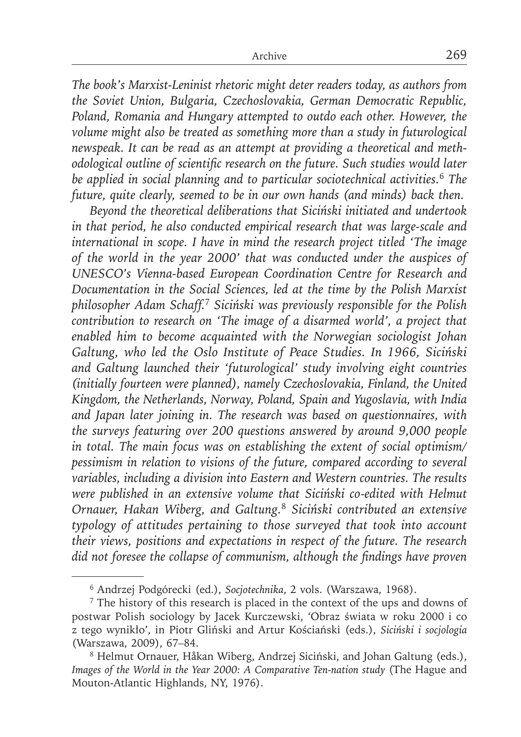*The book's Marxist-Leninist rhetoric might deter readers today, as authors from the Soviet Union, Bulgaria, Czechoslovakia, German Democratic Republic, Poland, Romania and Hungary attempted to outdo each other. However, the volume might also be treated as something more than a study in futurological newspeak. It can be read as an attempt at providing a theoretical and methodological outline of scientific research on the future. Such studies would later be applied in social planning and to particular sociotechnical activities.*<sup>6</sup> *The future, quite clearly, seemed to be in our own hands (and minds) back then.*

*Beyond the theoretical deliberations that Siciński initiated and undertook in that period, he also conducted empirical research that was large-scale and international in scope. I have in mind the research project titled 'The image of the world in the year 2000' that was conducted under the auspices of UNESCO's Vienna-based European Coordination Centre for Research and Documentation in the Social Sciences, led at the time by the Polish Marxist philosopher Adam Schaff.*<sup>7</sup> *Siciński was previously responsible for the Polish contribution to research on 'The image of a disarmed world', a project that enabled him to become acquainted with the Norwegian sociologist Johan Galtung, who led the Oslo Institute of Peace Studies. In 1966, Siciński and Galtung launched their 'futurological' study involving eight countries (initially fourteen were planned), namely Czechoslovakia, Finland, the United Kingdom, the Netherlands, Norway, Poland, Spain and Yugoslavia, with India and Japan later joining in. The research was based on questionnaires, with the surveys featuring over 200 questions answered by around 9,000 people in total. The main focus was on establishing the extent of social optimism/ pessimism in relation to visions of the future, compared according to several variables, including a division into Eastern and Western countries. The results were published in an extensive volume that Siciński co-edited with Helmut Ornauer, Hakan Wiberg, and Galtung.*<sup>8</sup> *Siciński contributed an extensive typology of attitudes pertaining to those surveyed that took into account their views, positions and expectations in respect of the future. The research did not foresee the collapse of communism, although the findings have proven* 

<sup>6</sup> Andrzej Podgórecki (ed.), *Socjotechnika*, 2 vols. (Warszawa, 1968).

<sup>7</sup> The history of this research is placed in the context of the ups and downs of postwar Polish sociology by Jacek Kurczewski, 'Obraz świata w roku 2000 i co z tego wynikło', in Piotr Gliński and Artur Kościański (eds.), *Siciński i socjologia* (Warszawa, 2009), 67–84.

<sup>8</sup> Helmut Ornauer, Håkan Wiberg, Andrzej Siciński, and Johan Galtung (eds.), *Images of the World in the Year 2000: A Comparative Ten-nation study* (The Hague and Mouton-Atlantic Highlands, NY, 1976).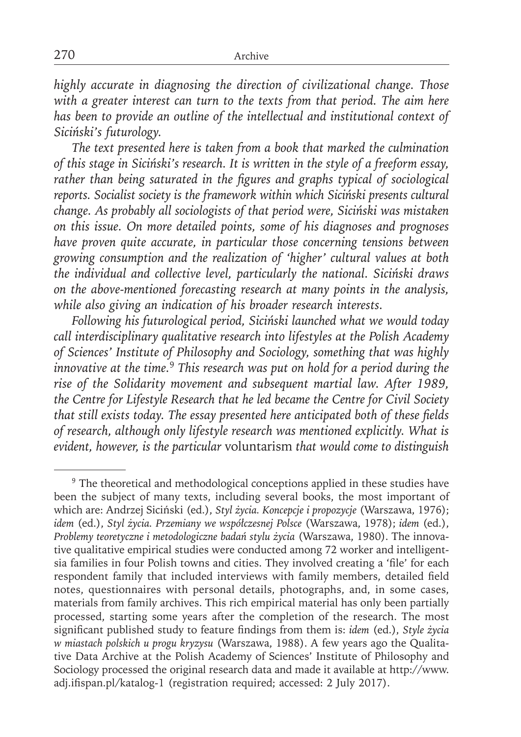*highly accurate in diagnosing the direction of civilizational change. Those with a greater interest can turn to the texts from that period. The aim here has been to provide an outline of the intellectual and institutional context of Siciński's futurology.*

*The text presented here is taken from a book that marked the culmination of this stage in Siciński's research. It is written in the style of a freeform essay,*  rather than being saturated in the figures and graphs typical of sociological *reports. Socialist society is the framework within which Siciński presents cultural change. As probably all sociologists of that period were, Siciński was mistaken on this issue. On more detailed points, some of his diagnoses and prognoses have proven quite accurate, in particular those concerning tensions between growing consumption and the realization of 'higher' cultural values at both the individual and collective level, particularly the national. Siciński draws on the above-mentioned forecasting research at many points in the analysis, while also giving an indication of his broader research interests.*

*Following his futurological period, Siciński launched what we would today call interdisciplinary qualitative research into lifestyles at the Polish Academy of Sciences' Institute of Philosophy and Sociology, something that was highly innovative at the time.*<sup>9</sup> *This research was put on hold for a period during the rise of the Solidarity movement and subsequent martial law. After 1989, the Centre for Lifestyle Research that he led became the Centre for Civil Society*  that still exists today. The essay presented here anticipated both of these fields *of research, although only lifestyle research was mentioned explicitly. What is evident, however, is the particular* voluntarism *that would come to distinguish* 

<sup>&</sup>lt;sup>9</sup> The theoretical and methodological conceptions applied in these studies have been the subject of many texts, including several books, the most important of which are: Andrzej Siciński (ed.), *Styl życia. Koncepcje i propozycje* (Warszawa, 1976); *idem* (ed.), *Styl życia. Przemiany we współczesnej Polsce* (Warszawa, 1978); *idem* (ed.), *Problemy teoretyczne i metodologiczne badań stylu życia* (Warszawa, 1980). The innovative qualitative empirical studies were conducted among 72 worker and intelligentsia families in four Polish towns and cities. They involved creating a 'file' for each respondent family that included interviews with family members, detailed field notes, questionnaires with personal details, photographs, and, in some cases, materials from family archives. This rich empirical material has only been partially processed, starting some years after the completion of the research. The most significant published study to feature findings from them is: *idem* (ed.), *Style życia w miastach polskich u progu kryzysu* (Warszawa, 1988). A few years ago the Qualitative Data Archive at the Polish Academy of Sciences' Institute of Philosophy and Sociology processed the original research data and made it available at http://www. adj.ifispan.pl/katalog-1 (registration required; accessed: 2 July 2017).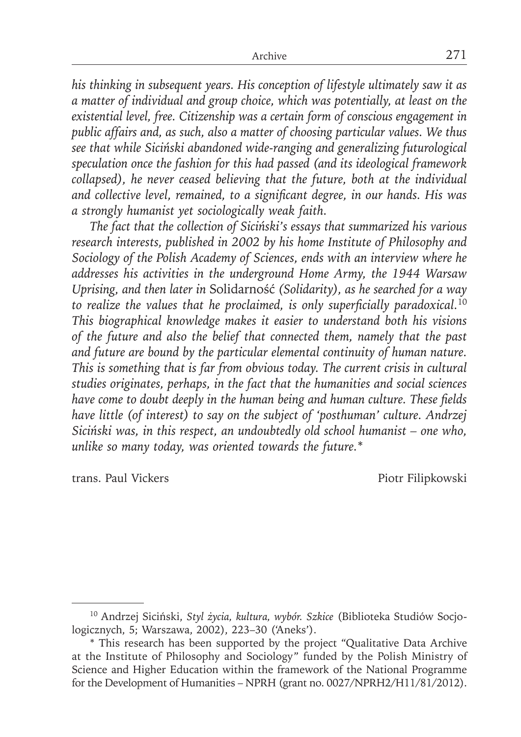*his thinking in subsequent years. His conception of lifestyle ultimately saw it as a matter of individual and group choice, which was potentially, at least on the existential level, free. Citizenship was a certain form of conscious engagement in public affairs and, as such, also a matter of choosing particular values. We thus see that while Siciński abandoned wide-ranging and generalizing futurological speculation once the fashion for this had passed (and its ideological framework collapsed), he never ceased believing that the future, both at the individual*  and collective level, remained, to a significant degree, in our hands. His was *a strongly humanist yet sociologically weak faith.*

*The fact that the collection of Siciński's essays that summarized his various research interests, published in 2002 by his home Institute of Philosophy and Sociology of the Polish Academy of Sciences, ends with an interview where he addresses his activities in the underground Home Army, the 1944 Warsaw Uprising, and then later in* Solidarność *(Solidarity), as he searched for a way*  to realize the values that he proclaimed, is only superficially paradoxical.<sup>10</sup> *This biographical knowledge makes it easier to understand both his visions of the future and also the belief that connected them, namely that the past and future are bound by the particular elemental continuity of human nature. This is something that is far from obvious today. The current crisis in cultural studies originates, perhaps, in the fact that the humanities and social sciences*  have come to doubt deeply in the human being and human culture. These fields *have little (of interest) to say on the subject of 'posthuman' culture. Andrzej Siciński was, in this respect, an undoubtedly old school humanist – one who, unlike so many today, was oriented towards the future.*\*

trans. Paul Vickers Piotr Filipkowski

<sup>10</sup> Andrzej Siciński, *Styl życia, kultura, wybór. Szkice* (Biblioteka Studiów Socjologicznych, 5; Warszawa, 2002), 223–30 ('Aneks').

<sup>\*</sup> This research has been supported by the project "Qualitative Data Archive at the Institute of Philosophy and Sociology" funded by the Polish Ministry of Science and Higher Education within the framework of the National Programme for the Development of Humanities – NPRH (grant no. 0027/NPRH2/H11/81/2012).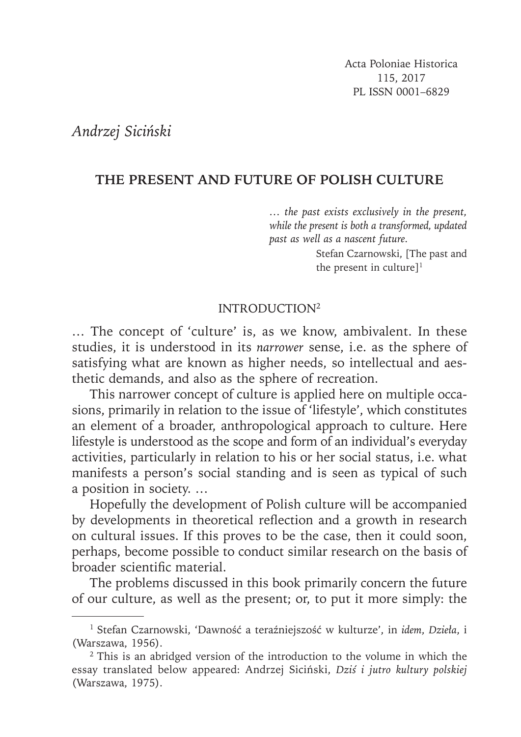Acta Poloniae Historica 115, 2017 PL ISSN 0001–6829

*Andrzej Siciński*

## **THE PRESENT AND FUTURE OF POLISH CULTURE**

*… the past exists exclusively in the present, while the present is both a transformed, updated past as well as a nascent future.*

> Stefan Czarnowski, [The past and the present in culture] $<sup>1</sup>$ </sup>

### INTRODUCTION2

… The concept of 'culture' is, as we know, ambivalent. In these studies, it is understood in its *narrower* sense, i.e. as the sphere of satisfying what are known as higher needs, so intellectual and aesthetic demands, and also as the sphere of recreation.

This narrower concept of culture is applied here on multiple occasions, primarily in relation to the issue of 'lifestyle', which constitutes an element of a broader, anthropological approach to culture. Here lifestyle is understood as the scope and form of an individual's everyday activities, particularly in relation to his or her social status, i.e. what manifests a person's social standing and is seen as typical of such a position in society. …

Hopefully the development of Polish culture will be accompanied by developments in theoretical reflection and a growth in research on cultural issues. If this proves to be the case, then it could soon, perhaps, become possible to conduct similar research on the basis of broader scientific material.

The problems discussed in this book primarily concern the future of our culture, as well as the present; or, to put it more simply: the

<sup>1</sup> Stefan Czarnowski, 'Dawność a teraźniejszość w kulturze', in *idem*, *Dzieła*, i (Warszawa, 1956).

<sup>2</sup> This is an abridged version of the introduction to the volume in which the essay translated below appeared: Andrzej Siciński, *Dziś i jutro kultury polskiej* (Warszawa, 1975).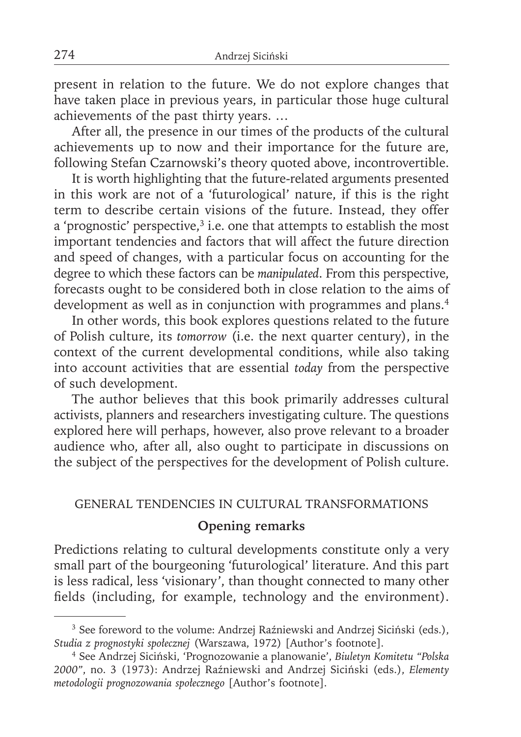present in relation to the future. We do not explore changes that have taken place in previous years, in particular those huge cultural achievements of the past thirty years. …

After all, the presence in our times of the products of the cultural achievements up to now and their importance for the future are, following Stefan Czarnowski's theory quoted above, incontrovertible.

It is worth highlighting that the future-related arguments presented in this work are not of a 'futurological' nature, if this is the right term to describe certain visions of the future. Instead, they offer a 'prognostic' perspective,<sup>3</sup> i.e. one that attempts to establish the most important tendencies and factors that will affect the future direction and speed of changes, with a particular focus on accounting for the degree to which these factors can be *manipulated*. From this perspective, forecasts ought to be considered both in close relation to the aims of development as well as in conjunction with programmes and plans.<sup>4</sup>

In other words, this book explores questions related to the future of Polish culture, its *tomorrow* (i.e. the next quarter century), in the context of the current developmental conditions, while also taking into account activities that are essential *today* from the perspective of such development.

The author believes that this book primarily addresses cultural activists, planners and researchers investigating culture. The questions explored here will perhaps, however, also prove relevant to a broader audience who, after all, also ought to participate in discussions on the subject of the perspectives for the development of Polish culture.

#### GENERAL TENDENCIES IN CULTURAL TRANSFORMATIONS

#### **Opening remarks**

Predictions relating to cultural developments constitute only a very small part of the bourgeoning 'futurological' literature. And this part is less radical, less 'visionary', than thought connected to many other fields (including, for example, technology and the environment).

<sup>&</sup>lt;sup>3</sup> See foreword to the volume: Andrzej Raźniewski and Andrzej Siciński (eds.), *Studia z prognostyki społecznej* (Warszawa, 1972) [Author's footnote].

<sup>4</sup> See Andrzej Siciński, 'Prognozowanie a planowanie', *Biuletyn Komitetu "Polska 2000"*, no. 3 (1973): Andrzej Raźniewski and Andrzej Siciński (eds.), *Elementy metodologii prognozowania społecznego* [Author's footnote].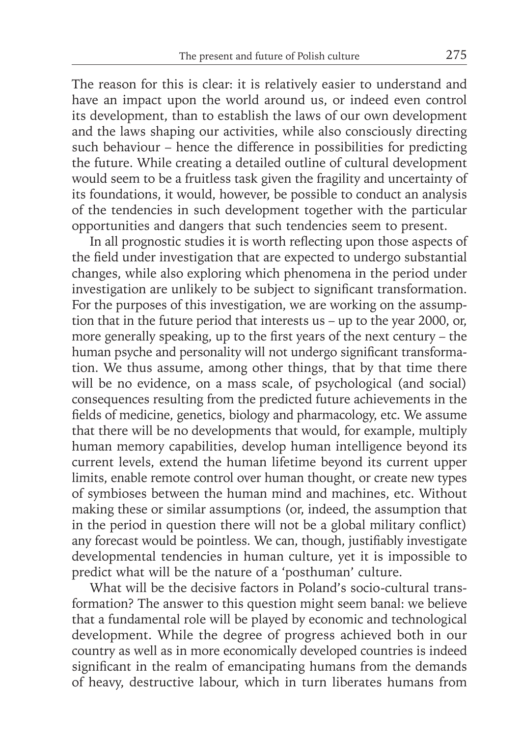The reason for this is clear: it is relatively easier to understand and have an impact upon the world around us, or indeed even control its development, than to establish the laws of our own development and the laws shaping our activities, while also consciously directing such behaviour – hence the difference in possibilities for predicting the future. While creating a detailed outline of cultural development would seem to be a fruitless task given the fragility and uncertainty of its foundations, it would, however, be possible to conduct an analysis of the tendencies in such development together with the particular opportunities and dangers that such tendencies seem to present.

In all prognostic studies it is worth reflecting upon those aspects of the field under investigation that are expected to undergo substantial changes, while also exploring which phenomena in the period under investigation are unlikely to be subject to significant transformation. For the purposes of this investigation, we are working on the assumption that in the future period that interests us – up to the year 2000, or, more generally speaking, up to the first years of the next century – the human psyche and personality will not undergo significant transformation. We thus assume, among other things, that by that time there will be no evidence, on a mass scale, of psychological (and social) consequences resulting from the predicted future achievements in the fields of medicine, genetics, biology and pharmacology, etc. We assume that there will be no developments that would, for example, multiply human memory capabilities, develop human intelligence beyond its current levels, extend the human lifetime beyond its current upper limits, enable remote control over human thought, or create new types of symbioses between the human mind and machines, etc. Without making these or similar assumptions (or, indeed, the assumption that in the period in question there will not be a global military conflict) any forecast would be pointless. We can, though, justifiably investigate developmental tendencies in human culture, yet it is impossible to predict what will be the nature of a 'posthuman' culture.

What will be the decisive factors in Poland's socio-cultural transformation? The answer to this question might seem banal: we believe that a fundamental role will be played by economic and technological development. While the degree of progress achieved both in our country as well as in more economically developed countries is indeed significant in the realm of emancipating humans from the demands of heavy, destructive labour, which in turn liberates humans from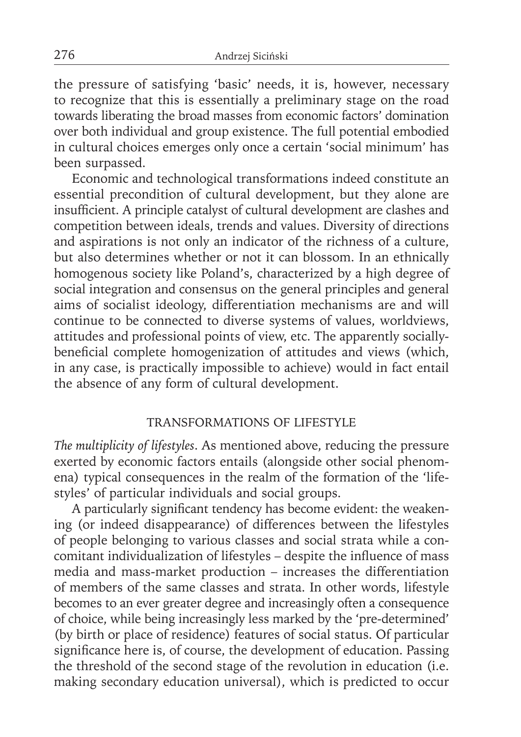the pressure of satisfying 'basic' needs, it is, however, necessary to recognize that this is essentially a preliminary stage on the road towards liberating the broad masses from economic factors' domination over both individual and group existence. The full potential embodied in cultural choices emerges only once a certain 'social minimum' has been surpassed.

Economic and technological transformations indeed constitute an essential precondition of cultural development, but they alone are insufficient. A principle catalyst of cultural development are clashes and competition between ideals, trends and values. Diversity of directions and aspirations is not only an indicator of the richness of a culture, but also determines whether or not it can blossom. In an ethnically homogenous society like Poland's, characterized by a high degree of social integration and consensus on the general principles and general aims of socialist ideology, differentiation mechanisms are and will continue to be connected to diverse systems of values, worldviews, attitudes and professional points of view, etc. The apparently sociallybeneficial complete homogenization of attitudes and views (which, in any case, is practically impossible to achieve) would in fact entail the absence of any form of cultural development.

#### TRANSFORMATIONS OF LIFESTYLE

*The multiplicity of lifestyles*. As mentioned above, reducing the pressure exerted by economic factors entails (alongside other social phenomena) typical consequences in the realm of the formation of the 'lifestyles' of particular individuals and social groups.

A particularly significant tendency has become evident: the weakening (or indeed disappearance) of differences between the lifestyles of people belonging to various classes and social strata while a concomitant individualization of lifestyles - despite the influence of mass media and mass-market production – increases the differentiation of members of the same classes and strata. In other words, lifestyle becomes to an ever greater degree and increasingly often a consequence of choice, while being increasingly less marked by the 'pre-determined' (by birth or place of residence) features of social status. Of particular significance here is, of course, the development of education. Passing the threshold of the second stage of the revolution in education (i.e. making secondary education universal), which is predicted to occur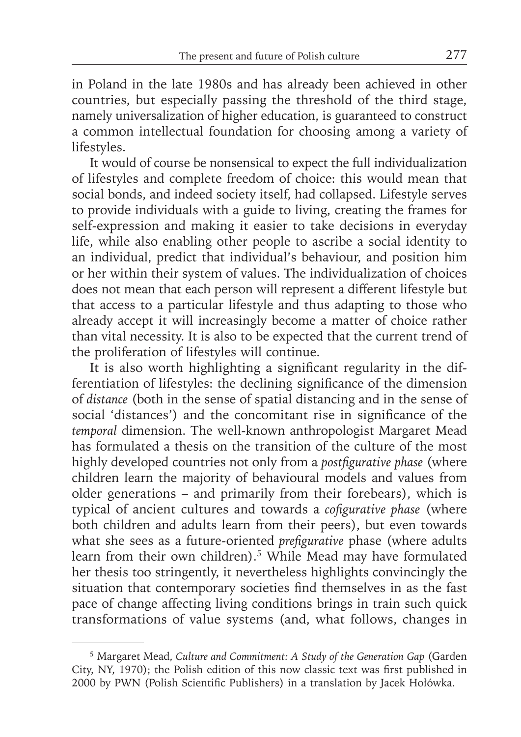in Poland in the late 1980s and has already been achieved in other countries, but especially passing the threshold of the third stage, namely universalization of higher education, is guaranteed to construct a common intellectual foundation for choosing among a variety of lifestyles.

It would of course be nonsensical to expect the full individualization of lifestyles and complete freedom of choice: this would mean that social bonds, and indeed society itself, had collapsed. Lifestyle serves to provide individuals with a guide to living, creating the frames for self-expression and making it easier to take decisions in everyday life, while also enabling other people to ascribe a social identity to an individual, predict that individual's behaviour, and position him or her within their system of values. The individualization of choices does not mean that each person will represent a different lifestyle but that access to a particular lifestyle and thus adapting to those who already accept it will increasingly become a matter of choice rather than vital necessity. It is also to be expected that the current trend of the proliferation of lifestyles will continue.

It is also worth highlighting a significant regularity in the differentiation of lifestyles: the declining significance of the dimension of *distance* (both in the sense of spatial distancing and in the sense of social 'distances') and the concomitant rise in significance of the *temporal* dimension. The well-known anthropologist Margaret Mead has formulated a thesis on the transition of the culture of the most highly developed countries not only from a *postfigurative phase* (where children learn the majority of behavioural models and values from older generations – and primarily from their forebears), which is typical of ancient cultures and towards a *cofigurative phase* (where both children and adults learn from their peers), but even towards what she sees as a future-oriented *prefigurative* phase (where adults learn from their own children).<sup>5</sup> While Mead may have formulated her thesis too stringently, it nevertheless highlights convincingly the situation that contemporary societies find themselves in as the fast pace of change affecting living conditions brings in train such quick transformations of value systems (and, what follows, changes in

<sup>5</sup> Margaret Mead, *Culture and Commitment: A Study of the Generation Gap* (Garden City, NY, 1970); the Polish edition of this now classic text was first published in 2000 by PWN (Polish Scientific Publishers) in a translation by Jacek Hołówka.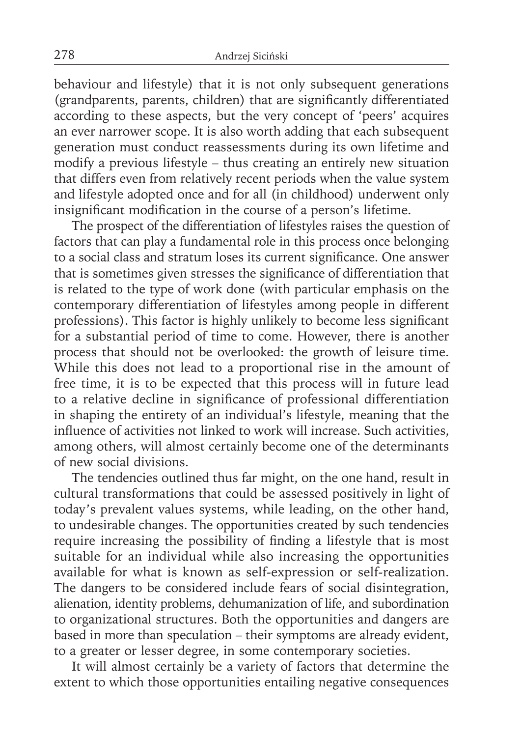behaviour and lifestyle) that it is not only subsequent generations (grandparents, parents, children) that are significantly differentiated according to these aspects, but the very concept of 'peers' acquires an ever narrower scope. It is also worth adding that each subsequent generation must conduct reassessments during its own lifetime and modify a previous lifestyle – thus creating an entirely new situation that differs even from relatively recent periods when the value system and lifestyle adopted once and for all (in childhood) underwent only insignificant modification in the course of a person's lifetime.

The prospect of the differentiation of lifestyles raises the question of factors that can play a fundamental role in this process once belonging to a social class and stratum loses its current significance. One answer that is sometimes given stresses the significance of differentiation that is related to the type of work done (with particular emphasis on the contemporary differentiation of lifestyles among people in different professions). This factor is highly unlikely to become less significant for a substantial period of time to come. However, there is another process that should not be overlooked: the growth of leisure time. While this does not lead to a proportional rise in the amount of free time, it is to be expected that this process will in future lead to a relative decline in significance of professional differentiation in shaping the entirety of an individual's lifestyle, meaning that the influence of activities not linked to work will increase. Such activities, among others, will almost certainly become one of the determinants of new social divisions.

The tendencies outlined thus far might, on the one hand, result in cultural transformations that could be assessed positively in light of today's prevalent values systems, while leading, on the other hand, to undesirable changes. The opportunities created by such tendencies require increasing the possibility of finding a lifestyle that is most suitable for an individual while also increasing the opportunities available for what is known as self-expression or self-realization. The dangers to be considered include fears of social disintegration, alienation, identity problems, dehumanization of life, and subordination to organizational structures. Both the opportunities and dangers are based in more than speculation – their symptoms are already evident, to a greater or lesser degree, in some contemporary societies.

It will almost certainly be a variety of factors that determine the extent to which those opportunities entailing negative consequences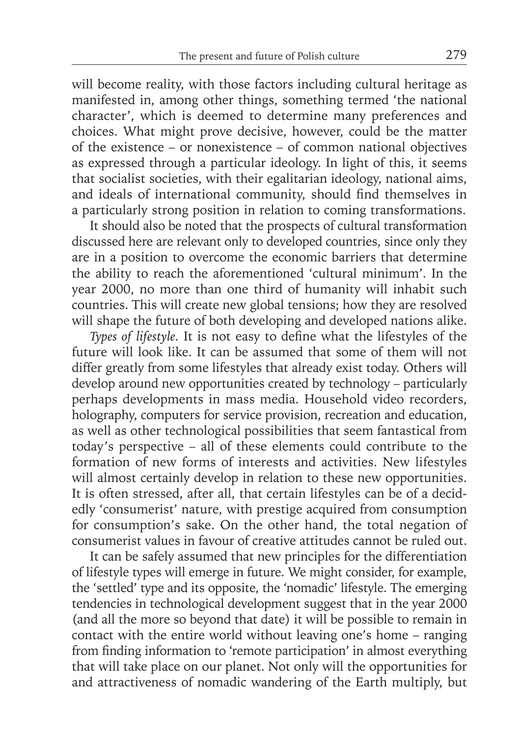will become reality, with those factors including cultural heritage as manifested in, among other things, something termed 'the national character', which is deemed to determine many preferences and choices. What might prove decisive, however, could be the matter of the existence – or nonexistence – of common national objectives as expressed through a particular ideology. In light of this, it seems that socialist societies, with their egalitarian ideology, national aims, and ideals of international community, should find themselves in a particularly strong position in relation to coming transformations.

It should also be noted that the prospects of cultural transformation discussed here are relevant only to developed countries, since only they are in a position to overcome the economic barriers that determine the ability to reach the aforementioned 'cultural minimum'. In the year 2000, no more than one third of humanity will inhabit such countries. This will create new global tensions; how they are resolved will shape the future of both developing and developed nations alike.

*Types of lifestyle*. It is not easy to define what the lifestyles of the future will look like. It can be assumed that some of them will not differ greatly from some lifestyles that already exist today. Others will develop around new opportunities created by technology – particularly perhaps developments in mass media. Household video recorders, holography, computers for service provision, recreation and education, as well as other technological possibilities that seem fantastical from today's perspective – all of these elements could contribute to the formation of new forms of interests and activities. New lifestyles will almost certainly develop in relation to these new opportunities. It is often stressed, after all, that certain lifestyles can be of a decidedly 'consumerist' nature, with prestige acquired from consumption for consumption's sake. On the other hand, the total negation of consumerist values in favour of creative attitudes cannot be ruled out.

It can be safely assumed that new principles for the differentiation of lifestyle types will emerge in future. We might consider, for example, the 'settled' type and its opposite, the 'nomadic' lifestyle. The emerging tendencies in technological development suggest that in the year 2000 (and all the more so beyond that date) it will be possible to remain in contact with the entire world without leaving one's home – ranging from finding information to 'remote participation' in almost everything that will take place on our planet. Not only will the opportunities for and attractiveness of nomadic wandering of the Earth multiply, but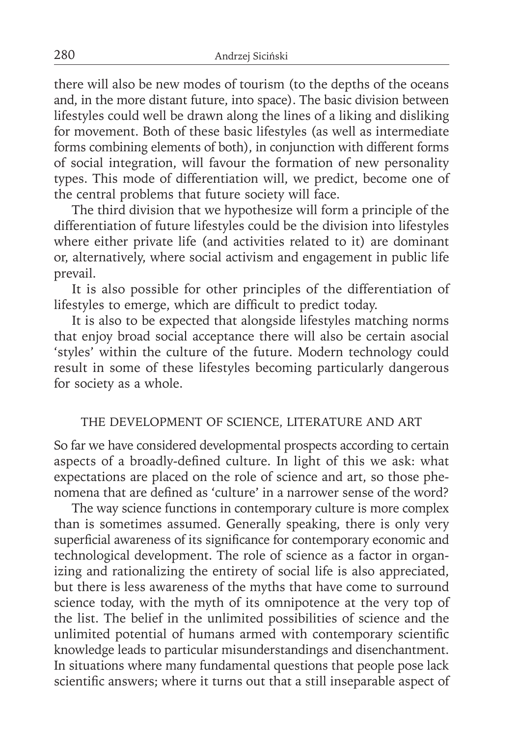there will also be new modes of tourism (to the depths of the oceans and, in the more distant future, into space). The basic division between lifestyles could well be drawn along the lines of a liking and disliking for movement. Both of these basic lifestyles (as well as intermediate forms combining elements of both), in conjunction with different forms of social integration, will favour the formation of new personality types. This mode of differentiation will, we predict, become one of the central problems that future society will face.

The third division that we hypothesize will form a principle of the differentiation of future lifestyles could be the division into lifestyles where either private life (and activities related to it) are dominant or, alternatively, where social activism and engagement in public life prevail.

It is also possible for other principles of the differentiation of lifestyles to emerge, which are difficult to predict today.

It is also to be expected that alongside lifestyles matching norms that enjoy broad social acceptance there will also be certain asocial 'styles' within the culture of the future. Modern technology could result in some of these lifestyles becoming particularly dangerous for society as a whole.

## THE DEVELOPMENT OF SCIENCE, LITERATURE AND ART

So far we have considered developmental prospects according to certain aspects of a broadly-defined culture. In light of this we ask: what expectations are placed on the role of science and art, so those phenomena that are defined as 'culture' in a narrower sense of the word?

The way science functions in contemporary culture is more complex than is sometimes assumed. Generally speaking, there is only very superficial awareness of its significance for contemporary economic and technological development. The role of science as a factor in organizing and rationalizing the entirety of social life is also appreciated, but there is less awareness of the myths that have come to surround science today, with the myth of its omnipotence at the very top of the list. The belief in the unlimited possibilities of science and the unlimited potential of humans armed with contemporary scientific knowledge leads to particular misunderstandings and disenchantment. In situations where many fundamental questions that people pose lack scientific answers; where it turns out that a still inseparable aspect of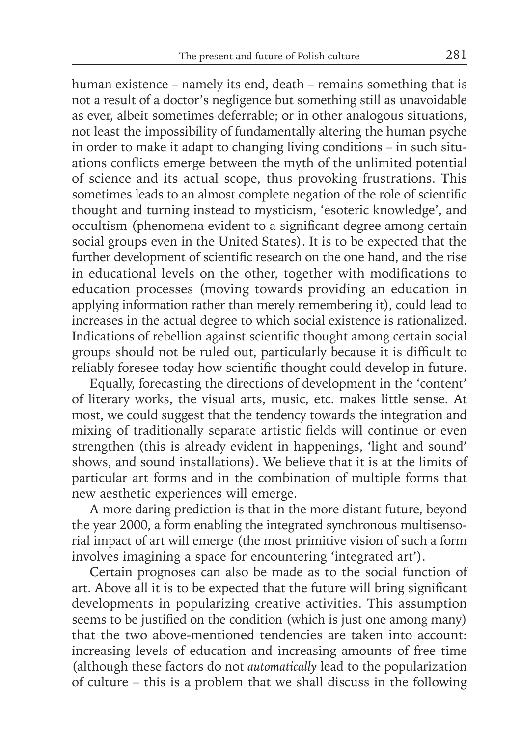human existence – namely its end, death – remains something that is not a result of a doctor's negligence but something still as unavoidable as ever, albeit sometimes deferrable; or in other analogous situations, not least the impossibility of fundamentally altering the human psyche in order to make it adapt to changing living conditions – in such situations conflicts emerge between the myth of the unlimited potential of science and its actual scope, thus provoking frustrations. This sometimes leads to an almost complete negation of the role of scientific thought and turning instead to mysticism, 'esoteric knowledge', and occultism (phenomena evident to a significant degree among certain social groups even in the United States). It is to be expected that the further development of scientific research on the one hand, and the rise in educational levels on the other, together with modifications to education processes (moving towards providing an education in applying information rather than merely remembering it), could lead to increases in the actual degree to which social existence is rationalized. Indications of rebellion against scientific thought among certain social groups should not be ruled out, particularly because it is difficult to reliably foresee today how scientific thought could develop in future.

Equally, forecasting the directions of development in the 'content' of literary works, the visual arts, music, etc. makes little sense. At most, we could suggest that the tendency towards the integration and mixing of traditionally separate artistic fields will continue or even strengthen (this is already evident in happenings, 'light and sound' shows, and sound installations). We believe that it is at the limits of particular art forms and in the combination of multiple forms that new aesthetic experiences will emerge.

A more daring prediction is that in the more distant future, beyond the year 2000, a form enabling the integrated synchronous multisensorial impact of art will emerge (the most primitive vision of such a form involves imagining a space for encountering 'integrated art').

Certain prognoses can also be made as to the social function of art. Above all it is to be expected that the future will bring significant developments in popularizing creative activities. This assumption seems to be justified on the condition (which is just one among many) that the two above-mentioned tendencies are taken into account: increasing levels of education and increasing amounts of free time (although these factors do not *automatically* lead to the popularization of culture – this is a problem that we shall discuss in the following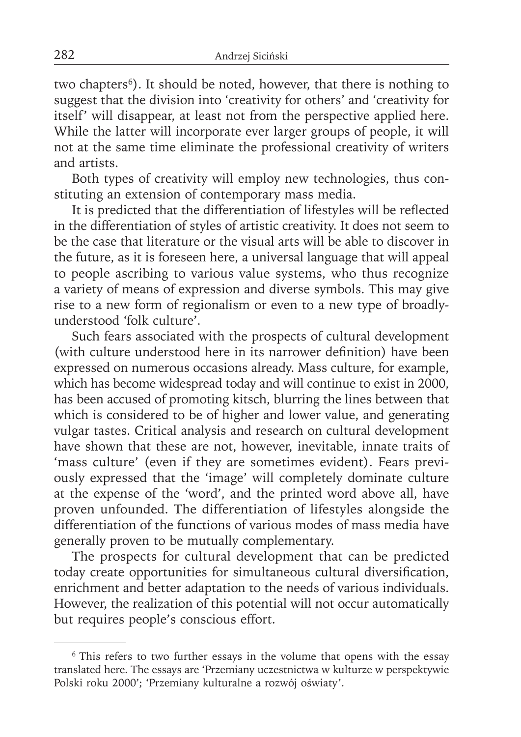two chapters<sup>6</sup>). It should be noted, however, that there is nothing to suggest that the division into 'creativity for others' and 'creativity for itself' will disappear, at least not from the perspective applied here. While the latter will incorporate ever larger groups of people, it will not at the same time eliminate the professional creativity of writers and artists.

Both types of creativity will employ new technologies, thus constituting an extension of contemporary mass media.

It is predicted that the differentiation of lifestyles will be reflected in the differentiation of styles of artistic creativity. It does not seem to be the case that literature or the visual arts will be able to discover in the future, as it is foreseen here, a universal language that will appeal to people ascribing to various value systems, who thus recognize a variety of means of expression and diverse symbols. This may give rise to a new form of regionalism or even to a new type of broadlyunderstood 'folk culture'.

Such fears associated with the prospects of cultural development (with culture understood here in its narrower definition) have been expressed on numerous occasions already. Mass culture, for example, which has become widespread today and will continue to exist in 2000, has been accused of promoting kitsch, blurring the lines between that which is considered to be of higher and lower value, and generating vulgar tastes. Critical analysis and research on cultural development have shown that these are not, however, inevitable, innate traits of 'mass culture' (even if they are sometimes evident). Fears previously expressed that the 'image' will completely dominate culture at the expense of the 'word', and the printed word above all, have proven unfounded. The differentiation of lifestyles alongside the differentiation of the functions of various modes of mass media have generally proven to be mutually complementary.

The prospects for cultural development that can be predicted today create opportunities for simultaneous cultural diversification, enrichment and better adaptation to the needs of various individuals. However, the realization of this potential will not occur automatically but requires people's conscious effort.

<sup>&</sup>lt;sup>6</sup> This refers to two further essays in the volume that opens with the essay translated here. The essays are 'Przemiany uczestnictwa w kulturze w perspektywie Polski roku 2000'; 'Przemiany kulturalne a rozwój oświaty'.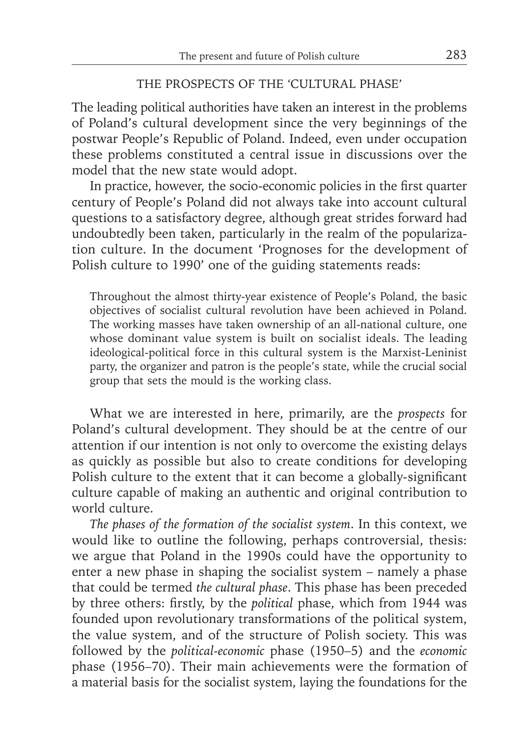#### THE PROSPECTS OF THE 'CULTURAL PHASE'

The leading political authorities have taken an interest in the problems of Poland's cultural development since the very beginnings of the postwar People's Republic of Poland. Indeed, even under occupation these problems constituted a central issue in discussions over the model that the new state would adopt.

In practice, however, the socio-economic policies in the first quarter century of People's Poland did not always take into account cultural questions to a satisfactory degree, although great strides forward had undoubtedly been taken, particularly in the realm of the popularization culture. In the document 'Prognoses for the development of Polish culture to 1990' one of the guiding statements reads:

Throughout the almost thirty-year existence of People's Poland, the basic objectives of socialist cultural revolution have been achieved in Poland. The working masses have taken ownership of an all-national culture, one whose dominant value system is built on socialist ideals. The leading ideological-political force in this cultural system is the Marxist-Leninist party, the organizer and patron is the people's state, while the crucial social group that sets the mould is the working class.

What we are interested in here, primarily, are the *prospects* for Poland's cultural development. They should be at the centre of our attention if our intention is not only to overcome the existing delays as quickly as possible but also to create conditions for developing Polish culture to the extent that it can become a globally-significant culture capable of making an authentic and original contribution to world culture.

*The phases of the formation of the socialist system*. In this context, we would like to outline the following, perhaps controversial, thesis: we argue that Poland in the 1990s could have the opportunity to enter a new phase in shaping the socialist system – namely a phase that could be termed *the cultural phase*. This phase has been preceded by three others: firstly, by the *political* phase, which from 1944 was founded upon revolutionary transformations of the political system, the value system, and of the structure of Polish society. This was followed by the *political-economic* phase (1950–5) and the *economic*  phase (1956–70). Their main achievements were the formation of a material basis for the socialist system, laying the foundations for the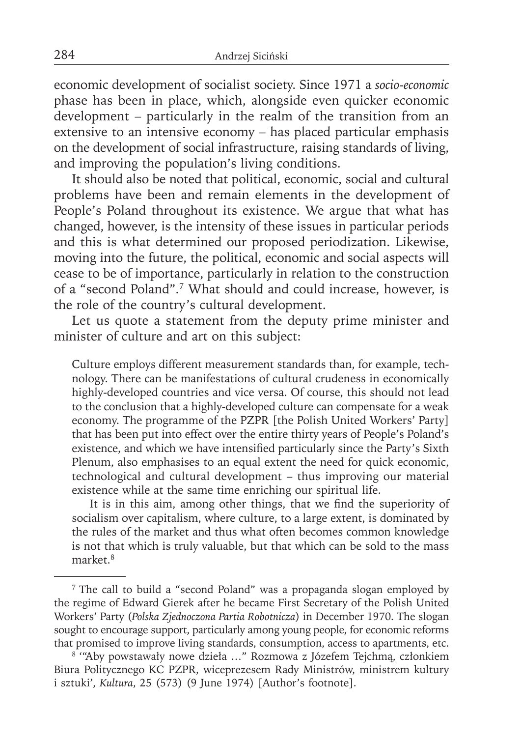economic development of socialist society. Since 1971 a *socio-economic* phase has been in place, which, alongside even quicker economic development – particularly in the realm of the transition from an extensive to an intensive economy – has placed particular emphasis on the development of social infrastructure, raising standards of living, and improving the population's living conditions.

It should also be noted that political, economic, social and cultural problems have been and remain elements in the development of People's Poland throughout its existence. We argue that what has changed, however, is the intensity of these issues in particular periods and this is what determined our proposed periodization. Likewise, moving into the future, the political, economic and social aspects will cease to be of importance, particularly in relation to the construction of a "second Poland".7 What should and could increase, however, is the role of the country's cultural development.

Let us quote a statement from the deputy prime minister and minister of culture and art on this subject:

Culture employs different measurement standards than, for example, technology. There can be manifestations of cultural crudeness in economically highly-developed countries and vice versa. Of course, this should not lead to the conclusion that a highly-developed culture can compensate for a weak economy. The programme of the PZPR [the Polish United Workers' Party] that has been put into effect over the entire thirty years of People's Poland's existence, and which we have intensified particularly since the Party's Sixth Plenum, also emphasises to an equal extent the need for quick economic, technological and cultural development – thus improving our material existence while at the same time enriching our spiritual life.

It is in this aim, among other things, that we find the superiority of socialism over capitalism, where culture, to a large extent, is dominated by the rules of the market and thus what often becomes common knowledge is not that which is truly valuable, but that which can be sold to the mass market.8

<sup>7</sup> The call to build a "second Poland" was a propaganda slogan employed by the regime of Edward Gierek after he became First Secretary of the Polish United Workers' Party (*Polska Zjednoczona Partia Robotnicza*) in December 1970. The slogan sought to encourage support, particularly among young people, for economic reforms that promised to improve living standards, consumption, access to apartments, etc.

<sup>8 &#</sup>x27;"Aby powstawały nowe dzieła …" Rozmowa z Józefem Tejchmą, członkiem Biura Politycznego KC PZPR, wiceprezesem Rady Ministrów, ministrem kultury i sztuki', *Kultura*, 25 (573) (9 June 1974) [Author's footnote].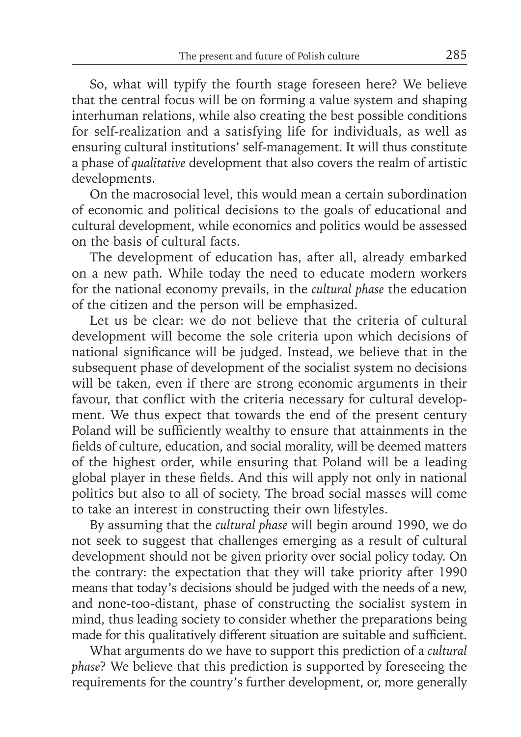So, what will typify the fourth stage foreseen here? We believe that the central focus will be on forming a value system and shaping interhuman relations, while also creating the best possible conditions for self-realization and a satisfying life for individuals, as well as ensuring cultural institutions' self-management. It will thus constitute a phase of *qualitative* development that also covers the realm of artistic developments.

On the macrosocial level, this would mean a certain subordination of economic and political decisions to the goals of educational and cultural development, while economics and politics would be assessed on the basis of cultural facts.

The development of education has, after all, already embarked on a new path. While today the need to educate modern workers for the national economy prevails, in the *cultural phase* the education of the citizen and the person will be emphasized.

Let us be clear: we do not believe that the criteria of cultural development will become the sole criteria upon which decisions of national significance will be judged. Instead, we believe that in the subsequent phase of development of the socialist system no decisions will be taken, even if there are strong economic arguments in their favour, that conflict with the criteria necessary for cultural development. We thus expect that towards the end of the present century Poland will be sufficiently wealthy to ensure that attainments in the fields of culture, education, and social morality, will be deemed matters of the highest order, while ensuring that Poland will be a leading global player in these fields. And this will apply not only in national politics but also to all of society. The broad social masses will come to take an interest in constructing their own lifestyles.

By assuming that the *cultural phase* will begin around 1990, we do not seek to suggest that challenges emerging as a result of cultural development should not be given priority over social policy today. On the contrary: the expectation that they will take priority after 1990 means that today's decisions should be judged with the needs of a new, and none-too-distant, phase of constructing the socialist system in mind, thus leading society to consider whether the preparations being made for this qualitatively different situation are suitable and sufficient.

What arguments do we have to support this prediction of a *cultural phase*? We believe that this prediction is supported by foreseeing the requirements for the country's further development, or, more generally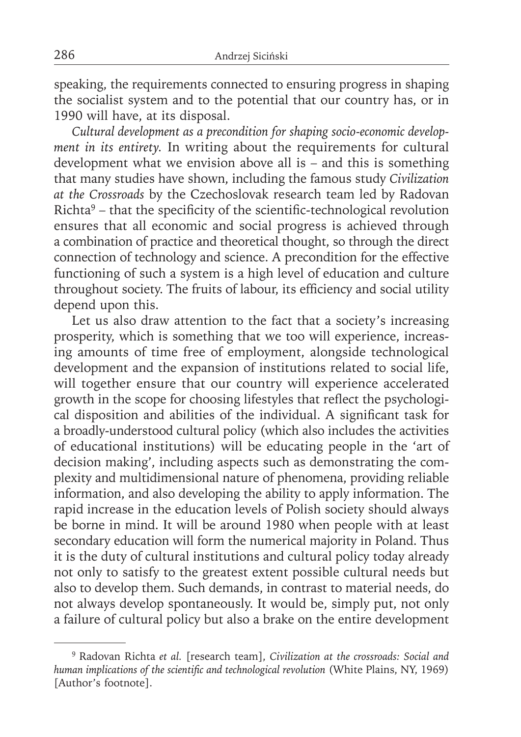speaking, the requirements connected to ensuring progress in shaping the socialist system and to the potential that our country has, or in 1990 will have, at its disposal.

*Cultural development as a precondition for shaping socio-economic development in its entirety.* In writing about the requirements for cultural development what we envision above all is – and this is something that many studies have shown, including the famous study *Civilization at the Crossroads* by the Czechoslovak research team led by Radovan  $Richard<sup>9</sup>$  – that the specificity of the scientific-technological revolution ensures that all economic and social progress is achieved through a combination of practice and theoretical thought, so through the direct connection of technology and science. A precondition for the effective functioning of such a system is a high level of education and culture throughout society. The fruits of labour, its efficiency and social utility depend upon this.

Let us also draw attention to the fact that a society's increasing prosperity, which is something that we too will experience, increasing amounts of time free of employment, alongside technological development and the expansion of institutions related to social life, will together ensure that our country will experience accelerated growth in the scope for choosing lifestyles that reflect the psychological disposition and abilities of the individual. A significant task for a broadly-understood cultural policy (which also includes the activities of educational institutions) will be educating people in the 'art of decision making', including aspects such as demonstrating the complexity and multidimensional nature of phenomena, providing reliable information, and also developing the ability to apply information. The rapid increase in the education levels of Polish society should always be borne in mind. It will be around 1980 when people with at least secondary education will form the numerical majority in Poland. Thus it is the duty of cultural institutions and cultural policy today already not only to satisfy to the greatest extent possible cultural needs but also to develop them. Such demands, in contrast to material needs, do not always develop spontaneously. It would be, simply put, not only a failure of cultural policy but also a brake on the entire development

<sup>9</sup> Radovan Richta *et al.* [research team], *Civilization at the crossroads: Social and*  human implications of the scientific and technological revolution (White Plains, NY, 1969) [Author's footnote].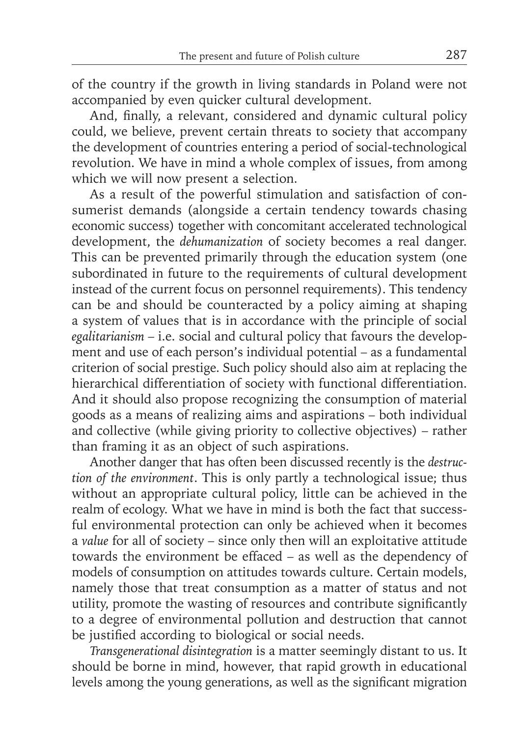of the country if the growth in living standards in Poland were not accompanied by even quicker cultural development.

And, finally, a relevant, considered and dynamic cultural policy could, we believe, prevent certain threats to society that accompany the development of countries entering a period of social-technological revolution. We have in mind a whole complex of issues, from among which we will now present a selection.

As a result of the powerful stimulation and satisfaction of consumerist demands (alongside a certain tendency towards chasing economic success) together with concomitant accelerated technological development, the *dehumanization* of society becomes a real danger. This can be prevented primarily through the education system (one subordinated in future to the requirements of cultural development instead of the current focus on personnel requirements). This tendency can be and should be counteracted by a policy aiming at shaping a system of values that is in accordance with the principle of social *egalitarianism* – i.e. social and cultural policy that favours the development and use of each person's individual potential – as a fundamental criterion of social prestige. Such policy should also aim at replacing the hierarchical differentiation of society with functional differentiation. And it should also propose recognizing the consumption of material goods as a means of realizing aims and aspirations – both individual and collective (while giving priority to collective objectives) – rather than framing it as an object of such aspirations.

Another danger that has often been discussed recently is the *destruction of the environment*. This is only partly a technological issue; thus without an appropriate cultural policy, little can be achieved in the realm of ecology. What we have in mind is both the fact that successful environmental protection can only be achieved when it becomes a *value* for all of society – since only then will an exploitative attitude towards the environment be effaced – as well as the dependency of models of consumption on attitudes towards culture. Certain models, namely those that treat consumption as a matter of status and not utility, promote the wasting of resources and contribute significantly to a degree of environmental pollution and destruction that cannot be justified according to biological or social needs.

*Transgenerational disintegration* is a matter seemingly distant to us. It should be borne in mind, however, that rapid growth in educational levels among the young generations, as well as the significant migration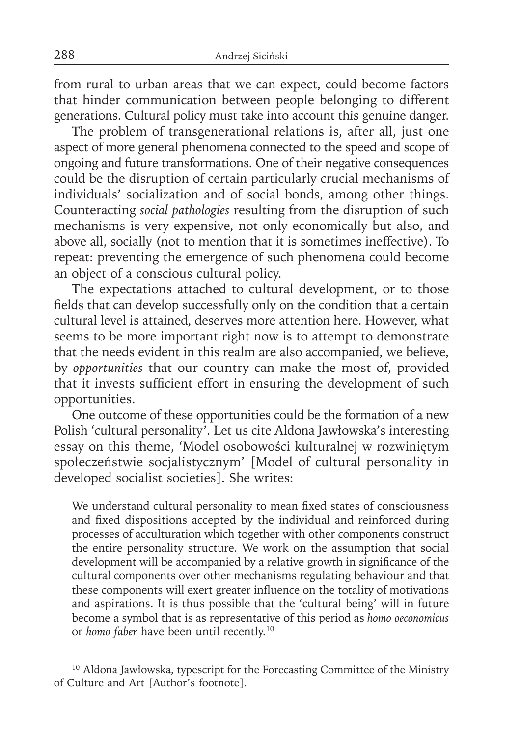from rural to urban areas that we can expect, could become factors that hinder communication between people belonging to different generations. Cultural policy must take into account this genuine danger.

The problem of transgenerational relations is, after all, just one aspect of more general phenomena connected to the speed and scope of ongoing and future transformations. One of their negative consequences could be the disruption of certain particularly crucial mechanisms of individuals' socialization and of social bonds, among other things. Counteracting *social pathologies* resulting from the disruption of such mechanisms is very expensive, not only economically but also, and above all, socially (not to mention that it is sometimes ineffective). To repeat: preventing the emergence of such phenomena could become an object of a conscious cultural policy.

The expectations attached to cultural development, or to those fields that can develop successfully only on the condition that a certain cultural level is attained, deserves more attention here. However, what seems to be more important right now is to attempt to demonstrate that the needs evident in this realm are also accompanied, we believe, by *opportunities* that our country can make the most of, provided that it invests sufficient effort in ensuring the development of such opportunities.

One outcome of these opportunities could be the formation of a new Polish 'cultural personality'. Let us cite Aldona Jawłowska's interesting essay on this theme, 'Model osobowości kulturalnej w rozwiniętym społeczeństwie socjalistycznym' [Model of cultural personality in developed socialist societies]. She writes:

We understand cultural personality to mean fixed states of consciousness and fixed dispositions accepted by the individual and reinforced during processes of acculturation which together with other components construct the entire personality structure. We work on the assumption that social development will be accompanied by a relative growth in significance of the cultural components over other mechanisms regulating behaviour and that these components will exert greater influence on the totality of motivations and aspirations. It is thus possible that the 'cultural being' will in future become a symbol that is as representative of this period as *homo oeconomicus*  or *homo faber* have been until recently.10

<sup>&</sup>lt;sup>10</sup> Aldona Jawłowska, typescript for the Forecasting Committee of the Ministry of Culture and Art [Author's footnote].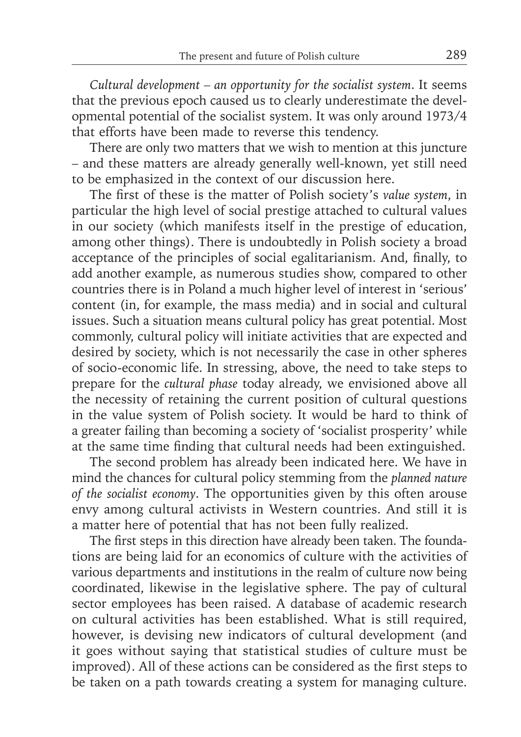*Cultural development – an opportunity for the socialist system*. It seems that the previous epoch caused us to clearly underestimate the developmental potential of the socialist system. It was only around 1973/4 that efforts have been made to reverse this tendency.

There are only two matters that we wish to mention at this juncture – and these matters are already generally well-known, yet still need to be emphasized in the context of our discussion here.

The first of these is the matter of Polish society's *value system*, in particular the high level of social prestige attached to cultural values in our society (which manifests itself in the prestige of education, among other things). There is undoubtedly in Polish society a broad acceptance of the principles of social egalitarianism. And, finally, to add another example, as numerous studies show, compared to other countries there is in Poland a much higher level of interest in 'serious' content (in, for example, the mass media) and in social and cultural issues. Such a situation means cultural policy has great potential. Most commonly, cultural policy will initiate activities that are expected and desired by society, which is not necessarily the case in other spheres of socio-economic life. In stressing, above, the need to take steps to prepare for the *cultural phase* today already, we envisioned above all the necessity of retaining the current position of cultural questions in the value system of Polish society. It would be hard to think of a greater failing than becoming a society of 'socialist prosperity' while at the same time finding that cultural needs had been extinguished.

The second problem has already been indicated here. We have in mind the chances for cultural policy stemming from the *planned nature of the socialist economy*. The opportunities given by this often arouse envy among cultural activists in Western countries. And still it is a matter here of potential that has not been fully realized.

The first steps in this direction have already been taken. The foundations are being laid for an economics of culture with the activities of various departments and institutions in the realm of culture now being coordinated, likewise in the legislative sphere. The pay of cultural sector employees has been raised. A database of academic research on cultural activities has been established. What is still required, however, is devising new indicators of cultural development (and it goes without saying that statistical studies of culture must be improved). All of these actions can be considered as the first steps to be taken on a path towards creating a system for managing culture.